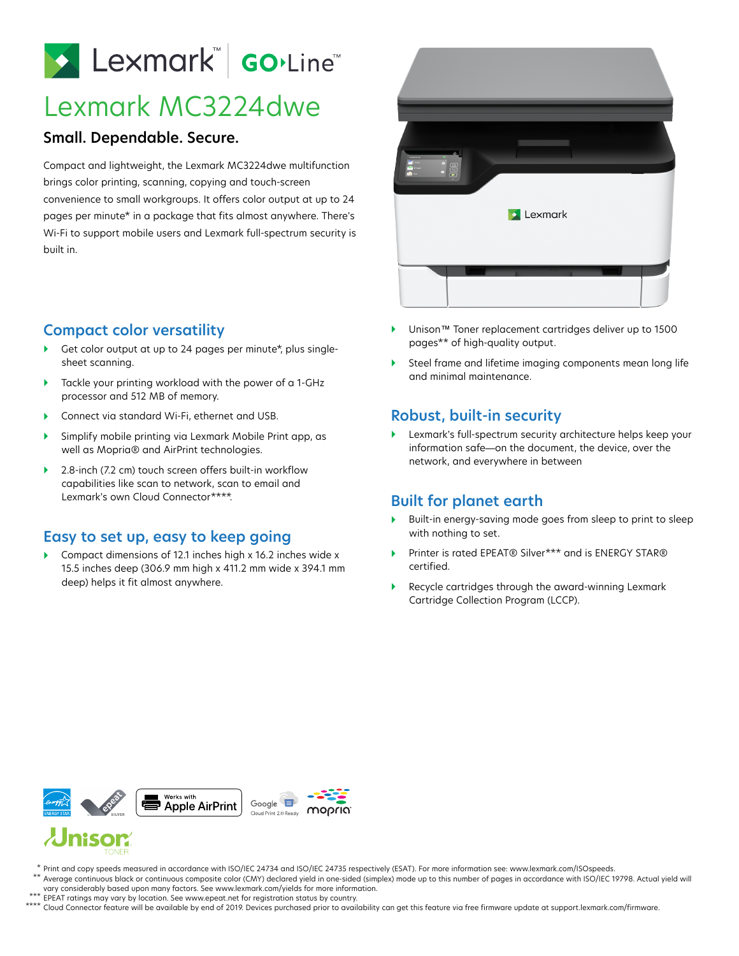# Lexmark Go.Line

## Lexmark MC3224dwe

#### **Small. Dependable. Secure.**

Compact and lightweight, the Lexmark MC3224dwe multifunction brings color printing, scanning, copying and touch-screen convenience to small workgroups. It offers color output at up to 24 pages per minute\* in a package that fits almost anywhere. There's Wi-Fi to support mobile users and Lexmark full-spectrum security is built in.

### **Compact color versatility**

- Get color output at up to 24 pages per minute\*, plus singlesheet scanning.
- Tackle your printing workload with the power of a 1-GHz processor and 512 MB of memory.
- Connect via standard Wi-Fi, ethernet and USB.
- Simplify mobile printing via Lexmark Mobile Print app, as well as Mopria® and AirPrint technologies.
- ▶ 2.8-inch (7.2 cm) touch screen offers built-in workflow capabilities like scan to network, scan to email and Lexmark's own Cloud Connector\*\*\*\*.

#### **Easy to set up, easy to keep going**

▶ Compact dimensions of 12.1 inches high x 16.2 inches wide x 15.5 inches deep (306.9 mm high x 411.2 mm wide x 394.1 mm deep) helps it fit almost anywhere.



- Unison™ Toner replacement cartridges deliver up to 1500 pages\*\* of high-quality output.
- Steel frame and lifetime imaging components mean long life and minimal maintenance.

#### **Robust, built-in security**

 Lexmark's full-spectrum security architecture helps keep your information safe—on the document, the device, over the network, and everywhere in between

#### **Built for planet earth**

- Built-in energy-saving mode goes from sleep to print to sleep with nothing to set.
- ▶ Printer is rated EPEAT<sup>®</sup> Silver<sup>\*\*\*</sup> and is ENERGY STAR<sup>®</sup> certified.
- Recycle cartridges through the award-winning Lexmark Cartridge Collection Program (LCCP).



## **Jnison**

- Print and copy speeds measured in accordance with ISO/IEC 24734 and ISO/IEC 24735 respectively (ESAT). For more information see: www.lexmark.com/ISOspeeds. \*
- $^{\star\star}$  Average continuous black or continuous composite color (CMY) declared yield in one-sided (simplex) mode up to this number of pages in accordance with ISO/IEC 19798. Actual yield will vary considerably based upon many factors. See www.lexmark.com/yields for more information.
- EPEAT ratings may vary by location. See www.epeat.net for registration status by country. \*\*\*
- Cloud Connector feature will be available by end of 2019. Devices purchased prior to availability can get this feature via free firmware update at support.lexmark.com/firmware. \*\*\*\*